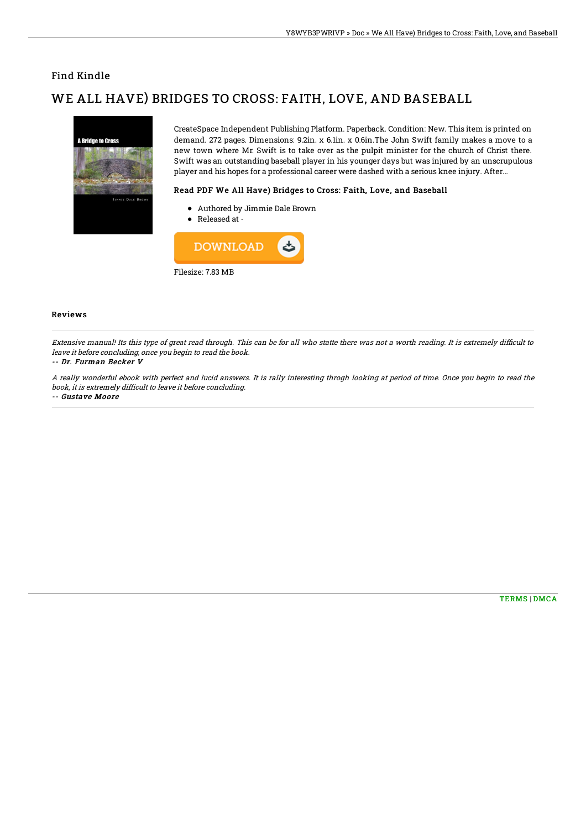## Find Kindle

# WE ALL HAVE) BRIDGES TO CROSS: FAITH, LOVE, AND BASEBALL



CreateSpace Independent Publishing Platform. Paperback. Condition: New. This item is printed on demand. 272 pages. Dimensions: 9.2in. x 6.1in. x 0.6in.The John Swift family makes a move to a new town where Mr. Swift is to take over as the pulpit minister for the church of Christ there. Swift was an outstanding baseball player in his younger days but was injured by an unscrupulous player and his hopes for a professional career were dashed with a serious knee injury. After...

### Read PDF We All Have) Bridges to Cross: Faith, Love, and Baseball

- Authored by Jimmie Dale Brown
- Released at -



#### Reviews

Extensive manual! Its this type of great read through. This can be for all who statte there was not a worth reading. It is extremely difficult to leave it before concluding, once you begin to read the book. -- Dr. Furman Becker V

A really wonderful ebook with perfect and lucid answers. It is rally interesting throgh looking at period of time. Once you begin to read the book, it is extremely difficult to leave it before concluding. -- Gustave Moore